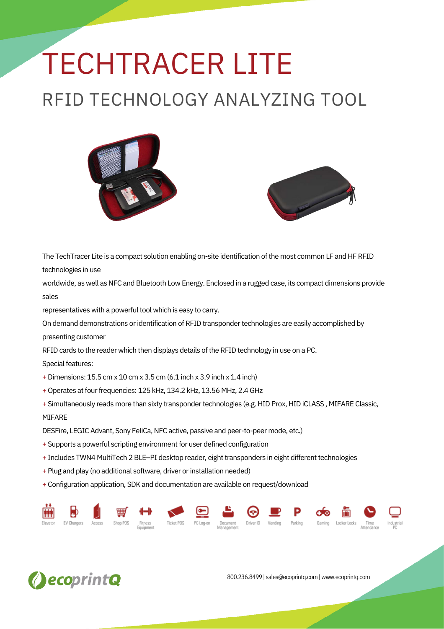## TECHTRACER LITE RFID TECHNOLOGY ANALYZING TOOL





The TechTracer Lite is a compact solution enabling on-site identification of the most common LF and HF RFID technologies in use

worldwide, as well as NFC and Bluetooth Low Energy. Enclosed in a rugged case, its compact dimensions provide sales

representatives with a powerful tool which is easy to carry.

On demand demonstrations or identification of RFID transponder technologies are easily accomplished by presenting customer

RFID cards to the reader which then displays details of the RFID technology in use on a PC.

Special features:

+Dimensions: 15.5 cm x 10 cm x 3.5 cm (6.1 inch x 3.9 inch x 1.4 inch)

- + Operates at four frequencies: 125 kHz, 134.2 kHz, 13.56 MHz, 2.4 GHz
- + Simultaneously reads more than sixty transponder technologies (e.g. HID Prox, HID iCLASS, MIFARE Classic, MIFARE

DESFire, LEGIC Advant, Sony FeliCa, NFC active, passive and peer-to-peer mode, etc.)

- + Supports a powerful scripting environment for user defined configuration
- + Includes TWN4 MultiTech 2 BLE-PI desktop reader, eight transponders in eight different technologies
- + Plug and play (no additional software, driver or installation needed)
- + Configuration application, SDK and documentation are available on request/download